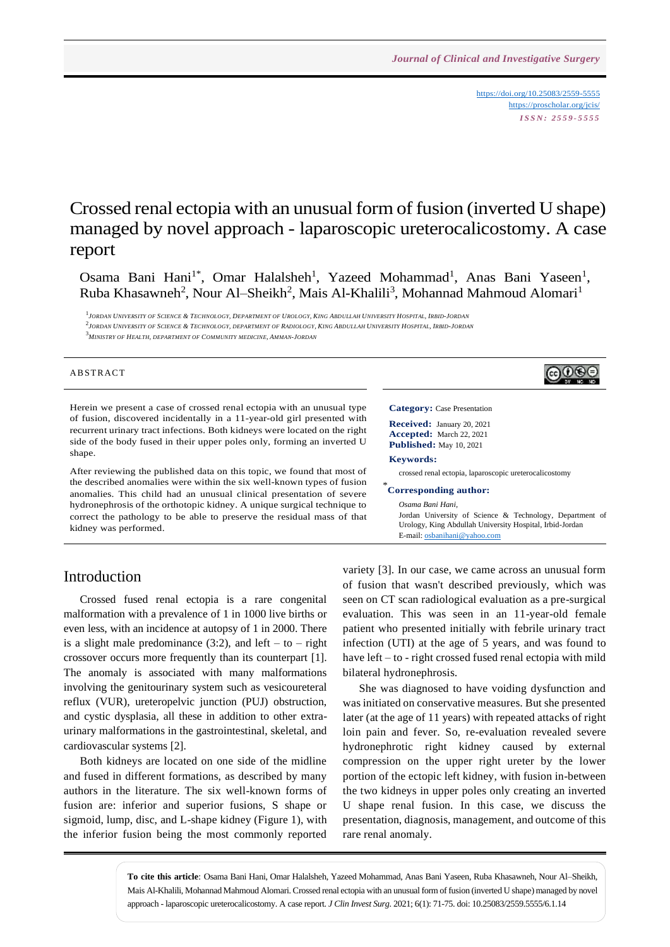<https://doi.org/10.25083/2559-5555> <https://proscholar.org/jcis/> *I S S N : 2 5 5 9 - 5 5 5 5*

<u>@0®@</u>

# Crossed renal ectopia with an unusual form of fusion (inverted U shape) managed by novel approach - laparoscopic ureterocalicostomy. A case report

Osama Bani Hani<sup>1\*</sup>, Omar Halalsheh<sup>1</sup>, Yazeed Mohammad<sup>1</sup>, Anas Bani Yaseen<sup>1</sup>, Ruba Khasawneh<sup>2</sup>, Nour Al–Sheikh<sup>2</sup>, Mais Al-Khalili<sup>3</sup>, Mohannad Mahmoud Alomari<sup>1</sup>

.<br>1 Jordan University of Science & Technology, Department of Urology, King Abdullah University Hospital, Irbid-Jordan .<br><sup>2</sup>Jordan University of Science & Technology, department of Radiology, King Abdullah University Hospital, Irbid-Jordan <sup>3</sup>*MINISTRY OF HEALTH, DEPARTMENT OF COMMUNITY MEDICINE, AMMAN-JORDAN*

#### **ABSTRACT**

Herein we present a case of crossed renal ectopia with an unusual type of fusion, discovered incidentally in a 11-year-old girl presented with recurrent urinary tract infections. Both kidneys were located on the right side of the body fused in their upper poles only, forming an inverted U shape.

After reviewing the published data on this topic, we found that most of the described anomalies were within the six well-known types of fusion anomalies. This child had an unusual clinical presentation of severe hydronephrosis of the orthotopic kidney. A unique surgical technique to correct the pathology to be able to preserve the residual mass of that kidney was performed.



## Introduction

Crossed fused renal ectopia is a rare congenital malformation with a prevalence of 1 in 1000 live births or even less, with an incidence at autopsy of 1 in 2000. There is a slight male predominance  $(3:2)$ , and left – to – right crossover occurs more frequently than its counterpart [1]. The anomaly is associated with many malformations involving the genitourinary system such as vesicoureteral reflux (VUR), ureteropelvic junction (PUJ) obstruction, and cystic dysplasia, all these in addition to other extraurinary malformations in the gastrointestinal, skeletal, and cardiovascular systems [2].

Both kidneys are located on one side of the midline and fused in different formations, as described by many authors in the literature. The six well-known forms of fusion are: inferior and superior fusions, S shape or sigmoid, lump, disc, and L-shape kidney (Figure 1), with the inferior fusion being the most commonly reported variety [3]. In our case, we came across an unusual form of fusion that wasn't described previously, which was seen on CT scan radiological evaluation as a pre-surgical evaluation. This was seen in an 11-year-old female patient who presented initially with febrile urinary tract infection (UTI) at the age of 5 years, and was found to have left – to - right crossed fused renal ectopia with mild bilateral hydronephrosis.

She was diagnosed to have voiding dysfunction and was initiated on conservative measures. But she presented later (at the age of 11 years) with repeated attacks of right loin pain and fever. So, re-evaluation revealed severe hydronephrotic right kidney caused by external compression on the upper right ureter by the lower portion of the ectopic left kidney, with fusion in-between the two kidneys in upper poles only creating an inverted U shape renal fusion. In this case, we discuss the presentation, diagnosis, management, and outcome of this rare renal anomaly.

**To cite this article**: Osama Bani Hani, Omar Halalsheh, Yazeed Mohammad, Anas Bani Yaseen, Ruba Khasawneh, Nour Al–Sheikh, Mais Al-Khalili, Mohannad Mahmoud Alomari. Crossed renal ectopia with an unusual form of fusion (inverted U shape) managed by novel approach - laparoscopic ureterocalicostomy. A case report. *J Clin Invest Surg*. 2021; 6(1): 71-75. doi: 10.25083/2559.5555/6.1.14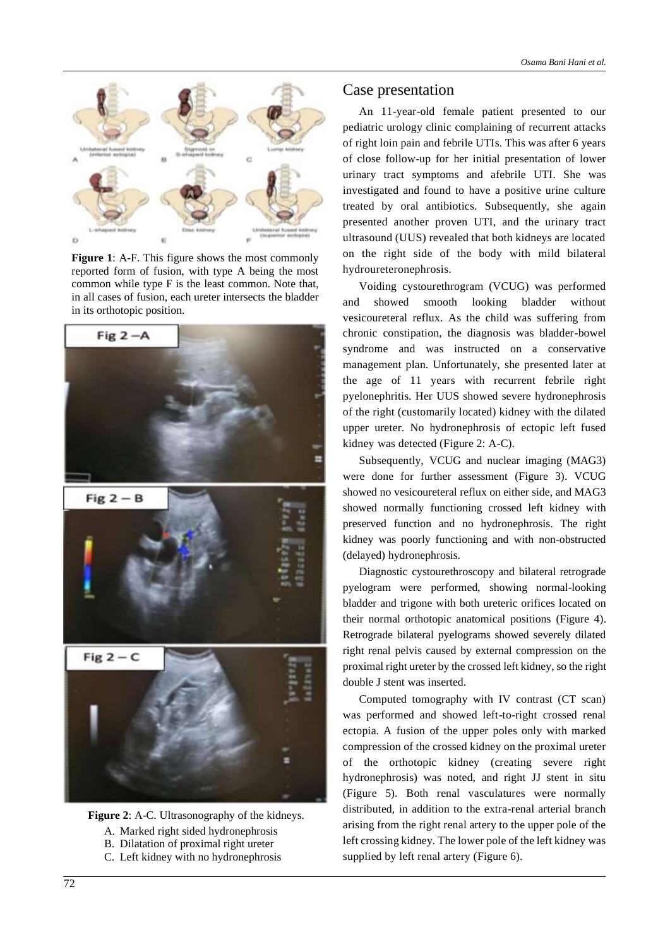

**Figure 1**: A-F. This figure shows the most commonly reported form of fusion, with type A being the most common while type F is the least common. Note that, in all cases of fusion, each ureter intersects the bladder in its orthotopic position.





- A. Marked right sided hydronephrosis
- B. Dilatation of proximal right ureter
- C. Left kidney with no hydronephrosis

# Case presentation

An 11-year-old female patient presented to our pediatric urology clinic complaining of recurrent attacks of right loin pain and febrile UTIs. This was after 6 years of close follow-up for her initial presentation of lower urinary tract symptoms and afebrile UTI. She was investigated and found to have a positive urine culture treated by oral antibiotics. Subsequently, she again presented another proven UTI, and the urinary tract ultrasound (UUS) revealed that both kidneys are located on the right side of the body with mild bilateral hydroureteronephrosis.

Voiding cystourethrogram (VCUG) was performed and showed smooth looking bladder without vesicoureteral reflux. As the child was suffering from chronic constipation, the diagnosis was bladder-bowel syndrome and was instructed on a conservative management plan. Unfortunately, she presented later at the age of 11 years with recurrent febrile right pyelonephritis. Her UUS showed severe hydronephrosis of the right (customarily located) kidney with the dilated upper ureter. No hydronephrosis of ectopic left fused kidney was detected (Figure 2: A-C).

Subsequently, VCUG and nuclear imaging (MAG3) were done for further assessment (Figure 3). VCUG showed no vesicoureteral reflux on either side, and MAG3 showed normally functioning crossed left kidney with preserved function and no hydronephrosis. The right kidney was poorly functioning and with non-obstructed (delayed) hydronephrosis.

Diagnostic cystourethroscopy and bilateral retrograde pyelogram were performed, showing normal-looking bladder and trigone with both ureteric orifices located on their normal orthotopic anatomical positions (Figure 4). Retrograde bilateral pyelograms showed severely dilated right renal pelvis caused by external compression on the proximal right ureter by the crossed left kidney, so the right double J stent was inserted.

Computed tomography with IV contrast (CT scan) was performed and showed left-to-right crossed renal ectopia. A fusion of the upper poles only with marked compression of the crossed kidney on the proximal ureter of the orthotopic kidney (creating severe right hydronephrosis) was noted, and right JJ stent in situ (Figure 5). Both renal vasculatures were normally distributed, in addition to the extra-renal arterial branch arising from the right renal artery to the upper pole of the left crossing kidney. The lower pole of the left kidney was supplied by left renal artery (Figure 6).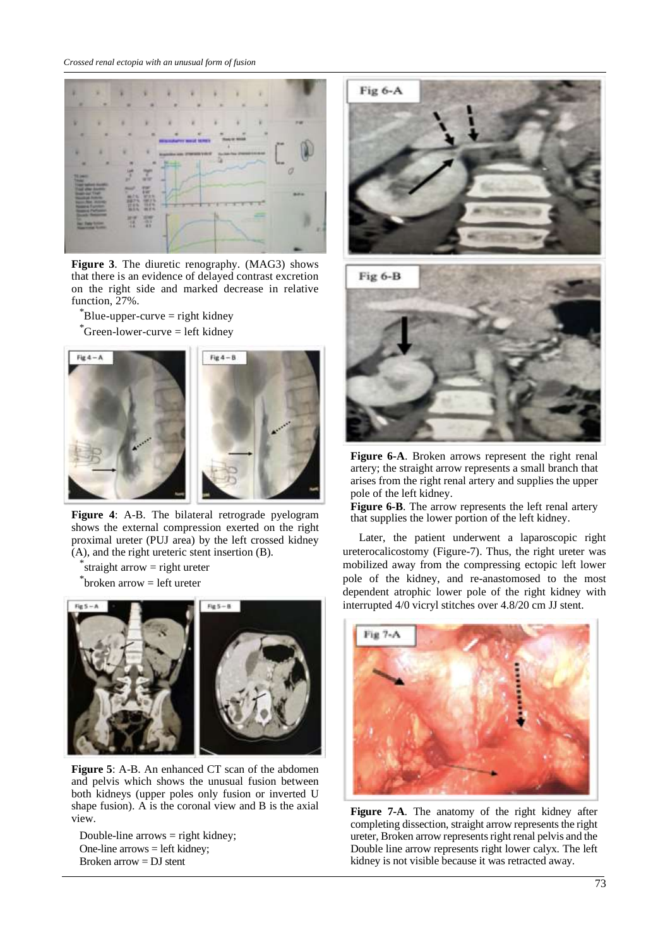

**Figure 3**. The diuretic renography. (MAG3) shows that there is an evidence of delayed contrast excretion on the right side and marked decrease in relative function, 27%.

 $\mathrm{B}$ lue-upper-curve = right kidney  $^{\circ}$ Green-lower-curve = left kidney



**Figure 4**: A-B. The bilateral retrograde pyelogram shows the external compression exerted on the right proximal ureter (PUJ area) by the left crossed kidney (A), and the right ureteric stent insertion (B).

\* straight arrow = right ureter

\* broken arrow = left ureter



**Figure 5**: A-B. An enhanced CT scan of the abdomen and pelvis which shows the unusual fusion between both kidneys (upper poles only fusion or inverted U shape fusion). A is the coronal view and B is the axial view.

Double-line arrows = right kidney; One-line arrows = left kidney; Broken arrow  $=$  DJ stent





**Figure 6-A**. Broken arrows represent the right renal artery; the straight arrow represents a small branch that arises from the right renal artery and supplies the upper pole of the left kidney.

**Figure 6-B**. The arrow represents the left renal artery that supplies the lower portion of the left kidney.

Later, the patient underwent a laparoscopic right ureterocalicostomy (Figure-7). Thus, the right ureter was mobilized away from the compressing ectopic left lower pole of the kidney, and re-anastomosed to the most dependent atrophic lower pole of the right kidney with interrupted 4/0 vicryl stitches over 4.8/20 cm JJ stent.



**Figure 7-A**. The anatomy of the right kidney after completing dissection, straight arrow represents the right ureter, Broken arrow represents right renal pelvis and the Double line arrow represents right lower calyx. The left kidney is not visible because it was retracted away.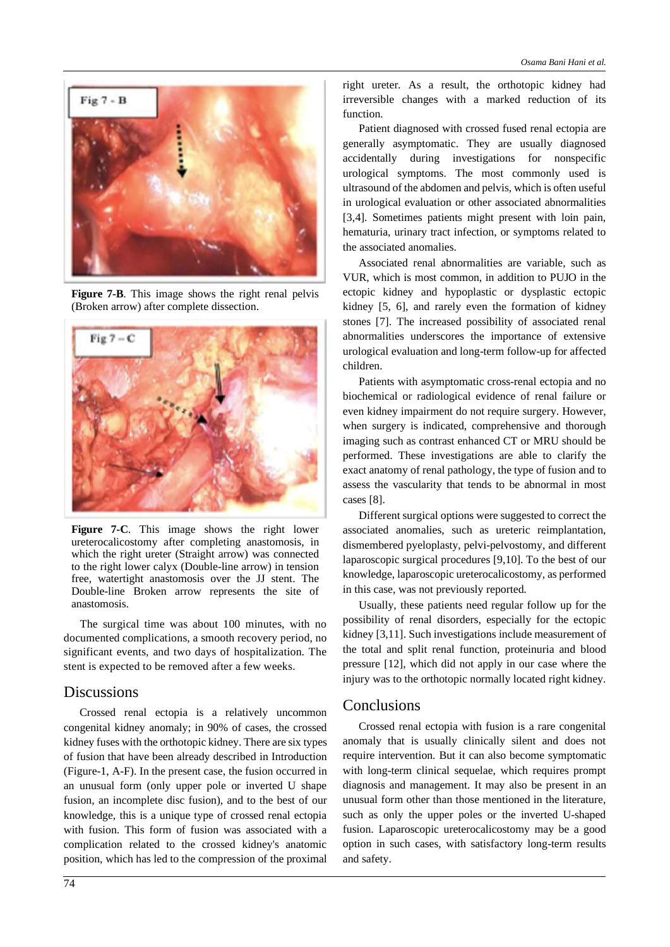

**Figure 7-B**. This image shows the right renal pelvis (Broken arrow) after complete dissection.



**Figure 7-C**. This image shows the right lower ureterocalicostomy after completing anastomosis, in which the right ureter (Straight arrow) was connected to the right lower calyx (Double-line arrow) in tension free, watertight anastomosis over the JJ stent. The Double-line Broken arrow represents the site of anastomosis.

The surgical time was about 100 minutes, with no documented complications, a smooth recovery period, no significant events, and two days of hospitalization. The stent is expected to be removed after a few weeks.

#### **Discussions**

Crossed renal ectopia is a relatively uncommon congenital kidney anomaly; in 90% of cases, the crossed kidney fuses with the orthotopic kidney. There are six types of fusion that have been already described in Introduction (Figure-1, A-F). In the present case, the fusion occurred in an unusual form (only upper pole or inverted U shape fusion, an incomplete disc fusion), and to the best of our knowledge, this is a unique type of crossed renal ectopia with fusion. This form of fusion was associated with a complication related to the crossed kidney's anatomic position, which has led to the compression of the proximal right ureter. As a result, the orthotopic kidney had irreversible changes with a marked reduction of its function.

Patient diagnosed with crossed fused renal ectopia are generally asymptomatic. They are usually diagnosed accidentally during investigations for nonspecific urological symptoms. The most commonly used is ultrasound of the abdomen and pelvis, which is often useful in urological evaluation or other associated abnormalities [3,4]. Sometimes patients might present with loin pain, hematuria, urinary tract infection, or symptoms related to the associated anomalies.

Associated renal abnormalities are variable, such as VUR, which is most common, in addition to PUJO in the ectopic kidney and hypoplastic or dysplastic ectopic kidney [5, 6], and rarely even the formation of kidney stones [7]. The increased possibility of associated renal abnormalities underscores the importance of extensive urological evaluation and long-term follow-up for affected children.

Patients with asymptomatic cross-renal ectopia and no biochemical or radiological evidence of renal failure or even kidney impairment do not require surgery. However, when surgery is indicated, comprehensive and thorough imaging such as contrast enhanced CT or MRU should be performed. These investigations are able to clarify the exact anatomy of renal pathology, the type of fusion and to assess the vascularity that tends to be abnormal in most cases [8].

Different surgical options were suggested to correct the associated anomalies, such as ureteric reimplantation, dismembered pyeloplasty, pelvi-pelvostomy, and different laparoscopic surgical procedures [9,10]. To the best of our knowledge, laparoscopic ureterocalicostomy, as performed in this case, was not previously reported.

Usually, these patients need regular follow up for the possibility of renal disorders, especially for the ectopic kidney [3,11]. Such investigations include measurement of the total and split renal function, proteinuria and blood pressure [12], which did not apply in our case where the injury was to the orthotopic normally located right kidney.

#### Conclusions

Crossed renal ectopia with fusion is a rare congenital anomaly that is usually clinically silent and does not require intervention. But it can also become symptomatic with long-term clinical sequelae, which requires prompt diagnosis and management. It may also be present in an unusual form other than those mentioned in the literature, such as only the upper poles or the inverted U-shaped fusion. Laparoscopic ureterocalicostomy may be a good option in such cases, with satisfactory long-term results and safety.